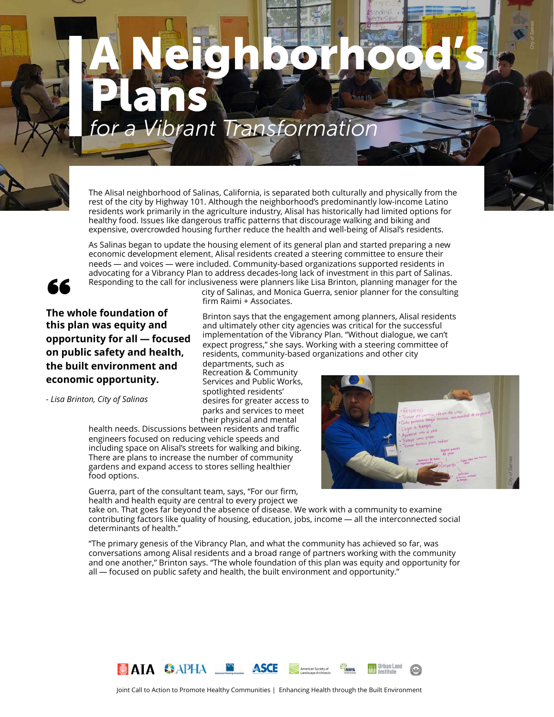# *for a Vibrant Transformation* A Neighborhood's Plans



The Alisal neighborhood of Salinas, California, is separated both culturally and physically from the rest of the city by Highway 101. Although the neighborhood's predominantly low-income Latino residents work primarily in the agriculture industry, Alisal has historically had limited options for healthy food. Issues like dangerous traffic patterns that discourage walking and biking and expensive, overcrowded housing further reduce the health and well-being of Alisal's residents.

As Salinas began to update the housing element of its general plan and started preparing a new economic development element, Alisal residents created a steering committee to ensure their needs — and voices — were included. Community-based organizations supported residents in advocating for a Vibrancy Plan to address decades-long lack of investment in this part of Salinas. Responding to the call for inclusiveness were planners like Lisa Brinton, planning manager for the



**66** Responding to the call<br>The whole foundation of **this plan was equity and opportunity for all — focused on public safety and health, the built environment and economic opportunity.**

*- Lisa Brinton, City of Salinas*

city of Salinas, and Monica Guerra, senior planner for the consulting firm Raimi + Associates.

Brinton says that the engagement among planners, Alisal residents and ultimately other city agencies was critical for the successful implementation of the Vibrancy Plan. "Without dialogue, we can't expect progress," she says. Working with a steering committee of residents, community-based organizations and other city

departments, such as Recreation & Community Services and Public Works, spotlighted residents' desires for greater access to parks and services to meet their physical and mental

health needs. Discussions between residents and traffic engineers focused on reducing vehicle speeds and including space on Alisal's streets for walking and biking. There are plans to increase the number of community gardens and expand access to stores selling healthier food options.

Guerra, part of the consultant team, says, "For our firm, health and health equity are central to every project we



take on. That goes far beyond the absence of disease. We work with a community to examine contributing factors like quality of housing, education, jobs, income — all the interconnected social determinants of health."

"The primary genesis of the Vibrancy Plan, and what the community has achieved so far, was conversations among Alisal residents and a broad range of partners working with the community and one another," Brinton says. "The whole foundation of this plan was equity and opportunity for all — focused on public safety and health, the built environment and opportunity."